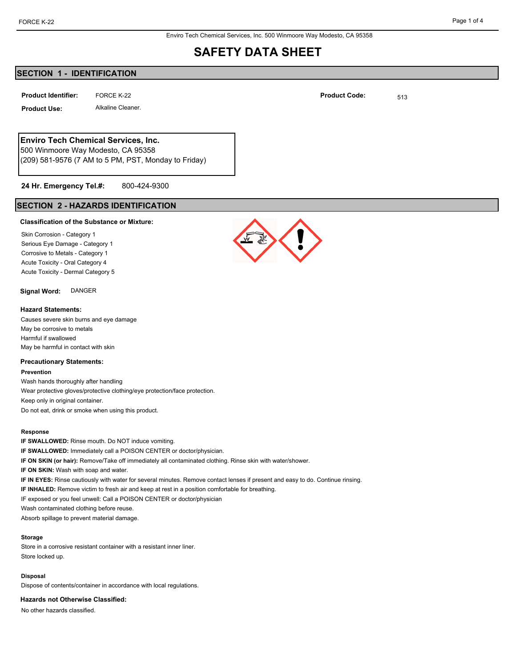Enviro Tech Chemical Services, Inc. 500 Winmoore Way Modesto, CA 95358

## **SAFETY DATA SHEET**

## **SECTION 1 - IDENTIFICATION**

FORCE K-22 0.000 PM and the set of the set of the set of the set of the set of the set of the set of the set of the set of the set of the set of the set of the set of the set of the set of the set of the set of the set of **Product Identifier:** FORCE K-22 **Fig. 1313 Product Code:** 513

**Product Use:** Alkaline Cleaner.

**Enviro Tech Chemical Services, Inc.**

500 Winmoore Way Modesto, CA 95358 (209) 581-9576 (7 AM to 5 PM, PST, Monday to Friday)

#### 800-424-9300 **24 Hr. Emergency Tel.#:**

## **SECTION 2 - HAZARDS IDENTIFICATION**

### **Classification of the Substance or Mixture:**

Skin Corrosion - Category 1 Serious Eye Damage - Category 1 Corrosive to Metals - Category 1 Acute Toxicity - Oral Category 4 Acute Toxicity - Dermal Category 5

**Signal Word:** DANGER

### **Hazard Statements:**

Causes severe skin burns and eye damage May be corrosive to metals Harmful if swallowed May be harmful in contact with skin

### **Precautionary Statements:**

**Prevention**

Wash hands thoroughly after handling Wear protective gloves/protective clothing/eye protection/face protection. Keep only in original container. Do not eat, drink or smoke when using this product.

### **Response**

**IF SWALLOWED:** Rinse mouth. Do NOT induce vomiting. **IF SWALLOWED:** Immediately call a POISON CENTER or doctor/physician. **IF ON SKIN (or hair):** Remove/Take off immediately all contaminated clothing. Rinse skin with water/shower. **IF ON SKIN:** Wash with soap and water. **IF IN EYES:** Rinse cautiously with water for several minutes. Remove contact lenses if present and easy to do. Continue rinsing. **IF INHALED:** Remove victim to fresh air and keep at rest in a position comfortable for breathing. IF exposed or you feel unwell: Call a POISON CENTER or doctor/physician Wash contaminated clothing before reuse. Absorb spillage to prevent material damage.

### **Storage**

Store in a corrosive resistant container with a resistant inner liner. Store locked up.

#### **Disposal**

Dispose of contents/container in accordance with local regulations.

**Hazards not Otherwise Classified:**

No other hazards classified.

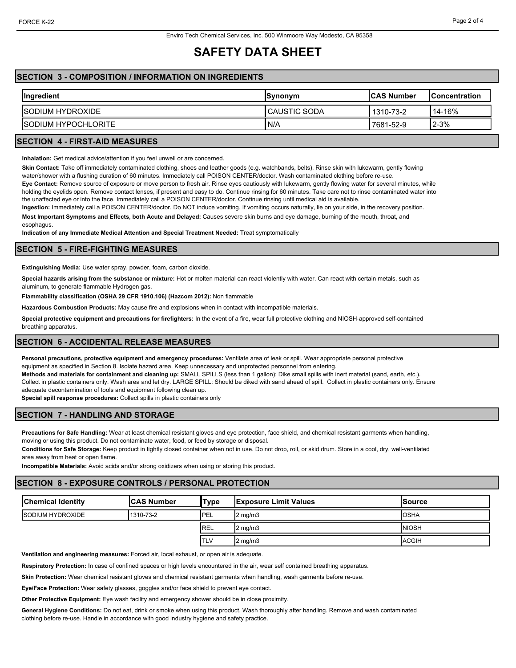# **SAFETY DATA SHEET**

## **SECTION 3 - COMPOSITION / INFORMATION ON INGREDIENTS**

| Ingredient                  | <b>Synonym</b>      | <b>ICAS Number</b> | <b>IConcentration</b> |
|-----------------------------|---------------------|--------------------|-----------------------|
| <b>ISODIUM HYDROXIDE</b>    | <b>CAUSTIC SODA</b> | 1310-73-2          | $14 - 16%$            |
| <b>ISODIUM HYPOCHLORITE</b> | N/A                 | 7681-52-9          | $2 - 3%$              |

## **SECTION 4 - FIRST-AID MEASURES**

**Inhalation:** Get medical advice/attention if you feel unwell or are concerned.

**Skin Contact:** Take off immediately contaminated clothing, shoes and leather goods (e.g. watchbands, belts). Rinse skin with lukewarm, gently flowing water/shower with a flushing duration of 60 minutes. Immediately call POISON CENTER/doctor. Wash contaminated clothing before re-use.

**Eye Contact:** Remove source of exposure or move person to fresh air. Rinse eyes cautiously with lukewarm, gently flowing water for several minutes, while holding the eyelids open. Remove contact lenses, if present and easy to do. Continue rinsing for 60 minutes. Take care not to rinse contaminated water into the unaffected eye or into the face. Immediately call a POISON CENTER/doctor. Continue rinsing until medical aid is available.

**Ingestion:** Immediately call a POISON CENTER/doctor. Do NOT induce vomiting. If vomiting occurs naturally, lie on your side, in the recovery position.

**Most Important Symptoms and Effects, both Acute and Delayed:** Causes severe skin burns and eye damage, burning of the mouth, throat, and

esophagus.

**Indication of any Immediate Medical Attention and Special Treatment Needed:** Treat symptomatically

### **SECTION 5 - FIRE-FIGHTING MEASURES**

**Extinguishing Media:** Use water spray, powder, foam, carbon dioxide.

**Special hazards arising from the substance or mixture:** Hot or molten material can react violently with water. Can react with certain metals, such as aluminum, to generate flammable Hydrogen gas.

**Flammability classification (OSHA 29 CFR 1910.106) (Hazcom 2012):** Non flammable

**Hazardous Combustion Products:** May cause fire and explosions when in contact with incompatible materials.

**Special protective equipment and precautions for firefighters:** In the event of a fire, wear full protective clothing and NIOSH-approved self-contained breathing apparatus.

### **SECTION 6 - ACCIDENTAL RELEASE MEASURES**

**Personal precautions, protective equipment and emergency procedures:** Ventilate area of leak or spill. Wear appropriate personal protective equipment as specified in Section 8. Isolate hazard area. Keep unnecessary and unprotected personnel from entering.

**Methods and materials for containment and cleaning up:** SMALL SPILLS (less than 1 gallon): Dike small spills with inert material (sand, earth, etc.). Collect in plastic containers only. Wash area and let dry. LARGE SPILL: Should be diked with sand ahead of spill. Collect in plastic containers only. Ensure adequate decontamination of tools and equipment following clean up.

**Special spill response procedures:** Collect spills in plastic containers only

## **SECTION 7 - HANDLING AND STORAGE**

**Precautions for Safe Handling:** Wear at least chemical resistant gloves and eye protection, face shield, and chemical resistant garments when handling, moving or using this product. Do not contaminate water, food, or feed by storage or disposal.

**Conditions for Safe Storage:** Keep product in tightly closed container when not in use. Do not drop, roll, or skid drum. Store in a cool, dry, well-ventilated area away from heat or open flame.

**Incompatible Materials:** Avoid acids and/or strong oxidizers when using or storing this product.

## **SECTION 8 - EXPOSURE CONTROLS / PERSONAL PROTECTION**

| <b>Chemical Identity</b> | <b>ICAS Number</b> | 'Type       | <b>Exposure Limit Values</b> | lSource      |
|--------------------------|--------------------|-------------|------------------------------|--------------|
| <b>ISODIUM HYDROXIDE</b> | 1310-73-2          | <b>IPEL</b> | $2 \text{ ma/m}$ 3           | <b>OSHA</b>  |
|                          |                    | REL         | $2 \text{ mg/m}$             | <b>NIOSH</b> |
|                          |                    | TLV         | $2 \text{ mg/m}$             | <b>ACGIH</b> |

**Ventilation and engineering measures:** Forced air, local exhaust, or open air is adequate.

**Respiratory Protection:** In case of confined spaces or high levels encountered in the air, wear self contained breathing apparatus.

**Skin Protection:** Wear chemical resistant gloves and chemical resistant garments when handling, wash garments before re-use.

**Eye/Face Protection:** Wear safety glasses, goggles and/or face shield to prevent eye contact.

**Other Protective Equipment:** Eye wash facility and emergency shower should be in close proximity.

**General Hygiene Conditions:** Do not eat, drink or smoke when using this product. Wash thoroughly after handling. Remove and wash contaminated clothing before re-use. Handle in accordance with good industry hygiene and safety practice.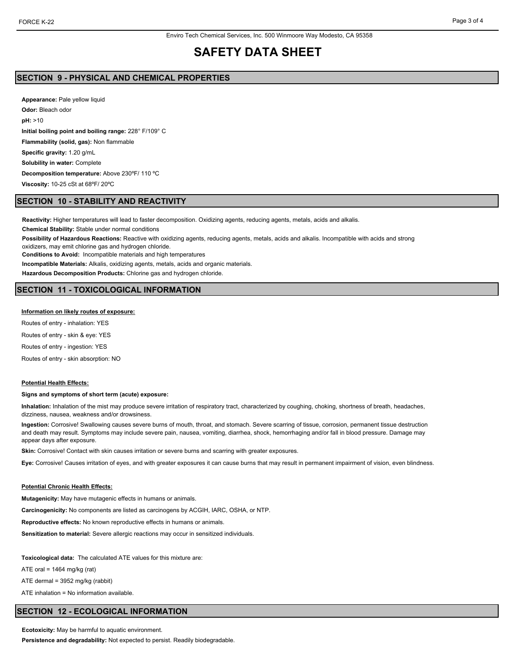## **SAFETY DATA SHEET**

### **SECTION 9 - PHYSICAL AND CHEMICAL PROPERTIES**

**Appearance:** Pale yellow liquid **Odor:** Bleach odor **pH:** >10 **Initial boiling point and boiling range:** 228° F/109° C **Flammability (solid, gas):** Non flammable **Specific gravity:** 1.20 g/mL **Solubility in water:** Complete **Decomposition temperature:** Above 230ºF/ 110 ºC **Viscosity:** 10-25 cSt at 68ºF/ 20ºC

### **SECTION 10 - STABILITY AND REACTIVITY**

**Reactivity:** Higher temperatures will lead to faster decomposition. Oxidizing agents, reducing agents, metals, acids and alkalis.

**Chemical Stability:** Stable under normal conditions

**Possibility of Hazardous Reactions:** Reactive with oxidizing agents, reducing agents, metals, acids and alkalis. Incompatible with acids and strong oxidizers, may emit chlorine gas and hydrogen chloride.

**Conditions to Avoid:** Incompatible materials and high temperatures

**Incompatible Materials:** Alkalis, oxidizing agents, metals, acids and organic materials.

**Hazardous Decomposition Products:** Chlorine gas and hydrogen chloride.

## **SECTION 11 - TOXICOLOGICAL INFORMATION**

### **Information on likely routes of exposure:**

Routes of entry - inhalation: YES

Routes of entry - skin & eye: YES

Routes of entry - ingestion: YES

Routes of entry - skin absorption: NO

### **Potential Health Effects:**

#### **Signs and symptoms of short term (acute) exposure:**

**Inhalation:** Inhalation of the mist may produce severe irritation of respiratory tract, characterized by coughing, choking, shortness of breath, headaches, dizziness, nausea, weakness and/or drowsiness.

**Ingestion:** Corrosive! Swallowing causes severe burns of mouth, throat, and stomach. Severe scarring of tissue, corrosion, permanent tissue destruction and death may result. Symptoms may include severe pain, nausea, vomiting, diarrhea, shock, hemorrhaging and/or fall in blood pressure. Damage may appear days after exposure.

Skin: Corrosive! Contact with skin causes irritation or severe burns and scarring with greater exposures.

**Eye:** Corrosive! Causes irritation of eyes, and with greater exposures it can cause burns that may result in permanent impairment of vision, even blindness.

### **Potential Chronic Health Effects:**

**Mutagenicity:** May have mutagenic effects in humans or animals.

**Carcinogenicity:** No components are listed as carcinogens by ACGIH, IARC, OSHA, or NTP.

**Reproductive effects:** No known reproductive effects in humans or animals.

**Sensitization to material:** Severe allergic reactions may occur in sensitized individuals.

**Toxicological data:** The calculated ATE values for this mixture are:

ATE oral =  $1464$  mg/kg (rat)

ATE dermal = 3952 mg/kg (rabbit)

ATE inhalation = No information available.

## **SECTION 12 - ECOLOGICAL INFORMATION**

**Ecotoxicity:** May be harmful to aquatic environment.

**Persistence and degradability:** Not expected to persist. Readily biodegradable.